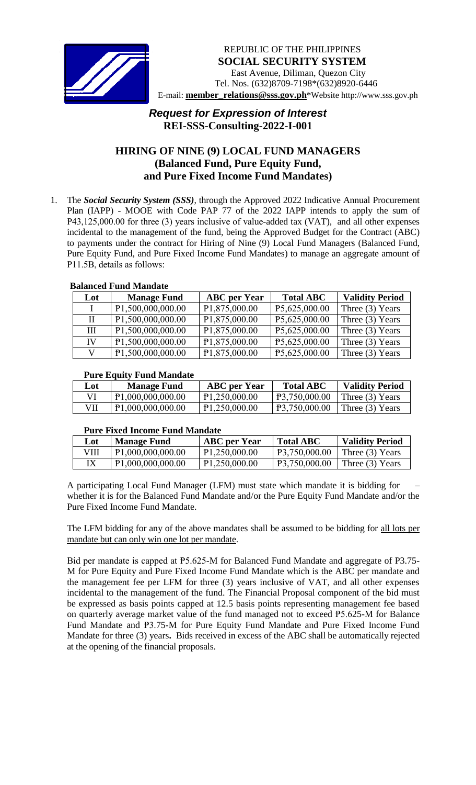

# *Request for Expression of Interest*  **REI-SSS-Consulting-2022-I-001**

## **HIRING OF NINE (9) LOCAL FUND MANAGERS (Balanced Fund, Pure Equity Fund, and Pure Fixed Income Fund Mandates)**

1. The *Social Security System (SSS)*, through the Approved 2022 Indicative Annual Procurement Plan (IAPP) - MOOE with Code PAP 77 of the 2022 IAPP intends to apply the sum of P43,125,000.00 for three (3) years inclusive of value-added tax (VAT), and all other expenses incidental to the management of the fund, being the Approved Budget for the Contract (ABC) to payments under the contract for Hiring of Nine (9) Local Fund Managers (Balanced Fund, Pure Equity Fund, and Pure Fixed Income Fund Mandates) to manage an aggregate amount of P11.5B, details as follows:

### **Balanced Fund Mandate**

| Lot          | <b>Manage Fund</b> | <b>ABC</b> per Year | <b>Total ABC</b> | <b>Validity Period</b> |
|--------------|--------------------|---------------------|------------------|------------------------|
| $\mathbf{I}$ | P1,500,000,000.00  | P1,875,000.00       | P5,625,000.00    | Three $(3)$ Years      |
| П            | P1,500,000,000.00  | P1,875,000.00       | P5,625,000.00    | Three $(3)$ Years      |
| Ш            | P1,500,000,000.00  | P1,875,000.00       | P5,625,000.00    | Three $(3)$ Years      |
| IV           | P1,500,000,000.00  | P1,875,000.00       | P5,625,000.00    | Three $(3)$ Years      |
| V            | P1,500,000,000.00  | P1,875,000.00       | P5,625,000.00    | Three $(3)$ Years      |

### **Pure Equity Fund Mandate**

| ------------- |                                |                     |                  |                        |
|---------------|--------------------------------|---------------------|------------------|------------------------|
| Lot           | <b>Manage Fund</b>             | <b>ABC</b> per Year | <b>Total ABC</b> | <b>Validity Period</b> |
|               | P <sub>1</sub> ,000,000,000.00 | P1,250,000.00       | P3,750,000.00    | Three (3) Years        |
| VII           | P1,000,000,000.00              | P1,250,000.00       | P3,750,000.00    | Three (3) Years        |

#### **Pure Fixed Income Fund Mandate**

| Lot | <b>Manage Fund</b>             | <b>ABC</b> per Year | <b>Total ABC</b> | <b>Validity Period</b> |
|-----|--------------------------------|---------------------|------------------|------------------------|
| VШ  | P <sub>1</sub> ,000,000,000.00 | P1,250,000.00       | P3.750,000.00    | Three (3) Years        |
|     | P1,000,000,000.00              | P1,250,000.00       | P3,750,000.00    | Three $(3)$ Years      |

A participating Local Fund Manager (LFM) must state which mandate it is bidding for – whether it is for the Balanced Fund Mandate and/or the Pure Equity Fund Mandate and/or the Pure Fixed Income Fund Mandate.

The LFM bidding for any of the above mandates shall be assumed to be bidding for all lots per mandate but can only win one lot per mandate.

Bid per mandate is capped at P5.625-M for Balanced Fund Mandate and aggregate of P3.75-M for Pure Equity and Pure Fixed Income Fund Mandate which is the ABC per mandate and the management fee per LFM for three (3) years inclusive of VAT, and all other expenses incidental to the management of the fund. The Financial Proposal component of the bid must be expressed as basis points capped at 12.5 basis points representing management fee based on quarterly average market value of the fund managed not to exceed ₱5.625-M for Balance Fund Mandate and ₱3.75-M for Pure Equity Fund Mandate and Pure Fixed Income Fund Mandate for three (3) years**.** Bids received in excess of the ABC shall be automatically rejected at the opening of the financial proposals.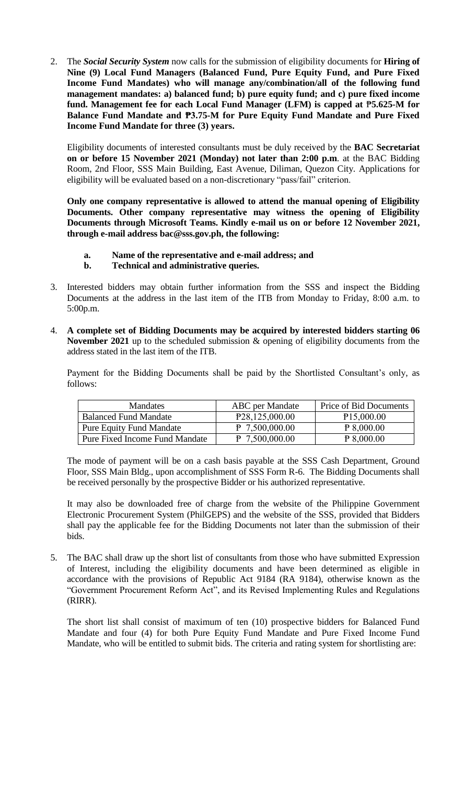2. The *Social Security System* now calls for the submission of eligibility documents for **Hiring of Nine (9) Local Fund Managers (Balanced Fund, Pure Equity Fund, and Pure Fixed Income Fund Mandates) who will manage any/combination/all of the following fund management mandates: a) balanced fund; b) pure equity fund; and c) pure fixed income fund. Management fee for each Local Fund Manager (LFM) is capped at** ₱**5.625-M for Balance Fund Mandate and ₱3.75-M for Pure Equity Fund Mandate and Pure Fixed Income Fund Mandate for three (3) years.** 

Eligibility documents of interested consultants must be duly received by the **BAC Secretariat on or before 15 November 2021 (Monday) not later than 2:00 p.m**. at the BAC Bidding Room, 2nd Floor, SSS Main Building, East Avenue, Diliman, Quezon City. Applications for eligibility will be evaluated based on a non-discretionary "pass/fail" criterion.

**Only one company representative is allowed to attend the manual opening of Eligibility Documents. Other company representative may witness the opening of Eligibility Documents through Microsoft Teams. Kindly e-mail us on or before 12 November 2021, through e-mail address bac@sss.gov.ph, the following:**

- **a. Name of the representative and e-mail address; and**
- **b. Technical and administrative queries.**
- 3. Interested bidders may obtain further information from the SSS and inspect the Bidding Documents at the address in the last item of the ITB from Monday to Friday, 8:00 a.m. to 5:00p.m.
- 4. **A complete set of Bidding Documents may be acquired by interested bidders starting 06 November 2021** up to the scheduled submission & opening of eligibility documents from the address stated in the last item of the ITB.

Payment for the Bidding Documents shall be paid by the Shortlisted Consultant's only, as follows:

| <b>Mandates</b>                       | <b>ABC</b> per Mandate      | Price of Bid Documents  |  |
|---------------------------------------|-----------------------------|-------------------------|--|
| <b>Balanced Fund Mandate</b>          | P <sub>28</sub> ,125,000.00 | P <sub>15</sub> ,000.00 |  |
| <b>Pure Equity Fund Mandate</b>       | P 7,500,000.00              | P 8,000.00              |  |
| <b>Pure Fixed Income Fund Mandate</b> | $P$ 7,500,000.00            | P 8,000.00              |  |

The mode of payment will be on a cash basis payable at the SSS Cash Department, Ground Floor, SSS Main Bldg., upon accomplishment of SSS Form R-6. The Bidding Documents shall be received personally by the prospective Bidder or his authorized representative.

It may also be downloaded free of charge from the website of the Philippine Government Electronic Procurement System (PhilGEPS) and the website of the SSS*,* provided that Bidders shall pay the applicable fee for the Bidding Documents not later than the submission of their bids.

5. The BAC shall draw up the short list of consultants from those who have submitted Expression of Interest, including the eligibility documents and have been determined as eligible in accordance with the provisions of Republic Act 9184 (RA 9184), otherwise known as the "Government Procurement Reform Act", and its Revised Implementing Rules and Regulations (RIRR).

The short list shall consist of maximum of ten (10) prospective bidders for Balanced Fund Mandate and four (4) for both Pure Equity Fund Mandate and Pure Fixed Income Fund Mandate, who will be entitled to submit bids. The criteria and rating system for shortlisting are: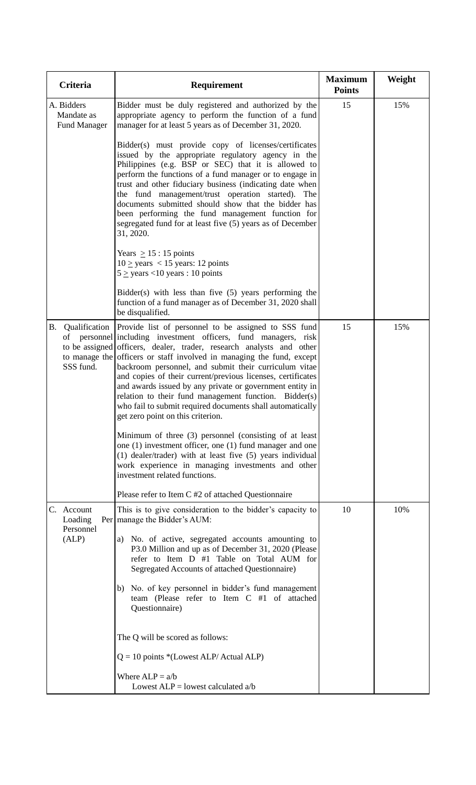| Criteria                                        | Requirement                                                                                                                                                                                                                                                                                                                                                                                                                                                                                                                                                                                                             | <b>Maximum</b><br><b>Points</b> | Weight |
|-------------------------------------------------|-------------------------------------------------------------------------------------------------------------------------------------------------------------------------------------------------------------------------------------------------------------------------------------------------------------------------------------------------------------------------------------------------------------------------------------------------------------------------------------------------------------------------------------------------------------------------------------------------------------------------|---------------------------------|--------|
| A. Bidders<br>Mandate as<br><b>Fund Manager</b> | Bidder must be duly registered and authorized by the<br>appropriate agency to perform the function of a fund<br>manager for at least 5 years as of December 31, 2020.                                                                                                                                                                                                                                                                                                                                                                                                                                                   | 15                              | 15%    |
|                                                 | Bidder(s) must provide copy of licenses/certificates<br>issued by the appropriate regulatory agency in the<br>Philippines (e.g. BSP or SEC) that it is allowed to<br>perform the functions of a fund manager or to engage in<br>trust and other fiduciary business (indicating date when<br>the fund management/trust operation started). The<br>documents submitted should show that the bidder has<br>been performing the fund management function for<br>segregated fund for at least five (5) years as of December<br>31, 2020.                                                                                     |                                 |        |
|                                                 | Years $\geq$ 15 : 15 points<br>$10 \ge$ years < 15 years: 12 points<br>$5 \ge$ years <10 years : 10 points                                                                                                                                                                                                                                                                                                                                                                                                                                                                                                              |                                 |        |
|                                                 | $Bidder(s)$ with less than five $(5)$ years performing the<br>function of a fund manager as of December 31, 2020 shall<br>be disqualified.                                                                                                                                                                                                                                                                                                                                                                                                                                                                              |                                 |        |
| <b>B.</b><br>Qualification<br>SSS fund.         | Provide list of personnel to be assigned to SSS fund<br>of personnel including investment officers, fund managers, risk<br>to be assigned officers, dealer, trader, research analysts and other<br>to manage the officers or staff involved in managing the fund, except<br>backroom personnel, and submit their curriculum vitae<br>and copies of their current/previous licenses, certificates<br>and awards issued by any private or government entity in<br>relation to their fund management function. Bidder(s)<br>who fail to submit required documents shall automatically<br>get zero point on this criterion. | 15                              | 15%    |
|                                                 | Minimum of three (3) personnel (consisting of at least<br>one $(1)$ investment officer, one $(1)$ fund manager and one<br>(1) dealer/trader) with at least five (5) years individual<br>work experience in managing investments and other<br>investment related functions.                                                                                                                                                                                                                                                                                                                                              |                                 |        |
|                                                 | Please refer to Item C #2 of attached Questionnaire                                                                                                                                                                                                                                                                                                                                                                                                                                                                                                                                                                     |                                 |        |
| C. Account<br>Loading<br>Personnel<br>(ALP)     | This is to give consideration to the bidder's capacity to<br>Per   manage the Bidder's AUM:<br>a) No. of active, segregated accounts amounting to<br>P3.0 Million and up as of December 31, 2020 (Please<br>refer to Item D #1 Table on Total AUM for<br>Segregated Accounts of attached Questionnaire)                                                                                                                                                                                                                                                                                                                 | 10                              | 10%    |
|                                                 | b) No. of key personnel in bidder's fund management<br>team (Please refer to Item C #1 of attached<br>Questionnaire)                                                                                                                                                                                                                                                                                                                                                                                                                                                                                                    |                                 |        |
|                                                 | The Q will be scored as follows:<br>$Q = 10$ points *(Lowest ALP/ Actual ALP)                                                                                                                                                                                                                                                                                                                                                                                                                                                                                                                                           |                                 |        |
|                                                 | Where $ALP = a/b$<br>Lowest $ALP =$ lowest calculated a/b                                                                                                                                                                                                                                                                                                                                                                                                                                                                                                                                                               |                                 |        |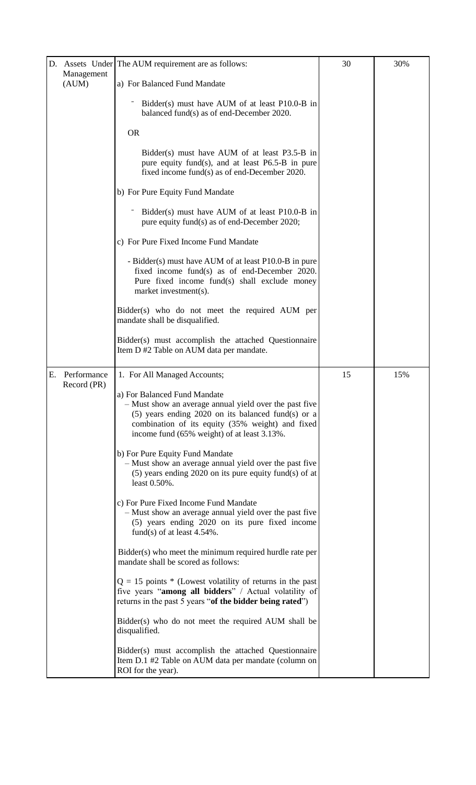|    |                            | D. Assets Under The AUM requirement are as follows:                                                                                                                                                                                               | 30 | 30% |
|----|----------------------------|---------------------------------------------------------------------------------------------------------------------------------------------------------------------------------------------------------------------------------------------------|----|-----|
|    | Management<br>(AUM)        | a) For Balanced Fund Mandate                                                                                                                                                                                                                      |    |     |
|    |                            | Bidder(s) must have AUM of at least P10.0-B in<br>balanced fund(s) as of end-December 2020.                                                                                                                                                       |    |     |
|    |                            | <b>OR</b>                                                                                                                                                                                                                                         |    |     |
|    |                            | Bidder(s) must have AUM of at least P3.5-B in<br>pure equity fund(s), and at least P6.5-B in pure<br>fixed income fund(s) as of end-December 2020.                                                                                                |    |     |
|    |                            | b) For Pure Equity Fund Mandate                                                                                                                                                                                                                   |    |     |
|    |                            | Bidder(s) must have AUM of at least P10.0-B in<br>pure equity fund(s) as of end-December 2020;                                                                                                                                                    |    |     |
|    |                            | c) For Pure Fixed Income Fund Mandate                                                                                                                                                                                                             |    |     |
|    |                            | - Bidder(s) must have AUM of at least P10.0-B in pure<br>fixed income fund(s) as of end-December 2020.<br>Pure fixed income fund(s) shall exclude money<br>market investment(s).                                                                  |    |     |
|    |                            | Bidder(s) who do not meet the required AUM per<br>mandate shall be disqualified.                                                                                                                                                                  |    |     |
|    |                            | Bidder(s) must accomplish the attached Questionnaire<br>Item D #2 Table on AUM data per mandate.                                                                                                                                                  |    |     |
| Е. | Performance<br>Record (PR) | 1. For All Managed Accounts;                                                                                                                                                                                                                      | 15 | 15% |
|    |                            | a) For Balanced Fund Mandate<br>- Must show an average annual yield over the past five<br>$(5)$ years ending 2020 on its balanced fund(s) or a<br>combination of its equity (35% weight) and fixed<br>income fund (65% weight) of at least 3.13%. |    |     |
|    |                            | b) For Pure Equity Fund Mandate<br>- Must show an average annual yield over the past five<br>$(5)$ years ending 2020 on its pure equity fund(s) of at<br>least 0.50%.                                                                             |    |     |
|    |                            | c) For Pure Fixed Income Fund Mandate<br>- Must show an average annual yield over the past five<br>(5) years ending 2020 on its pure fixed income<br>fund(s) of at least $4.54\%$ .                                                               |    |     |
|    |                            | Bidder(s) who meet the minimum required hurdle rate per<br>mandate shall be scored as follows:                                                                                                                                                    |    |     |
|    |                            | $Q = 15$ points * (Lowest volatility of returns in the past<br>five years "among all bidders" / Actual volatility of<br>returns in the past 5 years "of the bidder being rated")                                                                  |    |     |
|    |                            | Bidder(s) who do not meet the required AUM shall be<br>disqualified.                                                                                                                                                                              |    |     |
|    |                            | Bidder(s) must accomplish the attached Questionnaire<br>Item D.1 #2 Table on AUM data per mandate (column on<br>ROI for the year).                                                                                                                |    |     |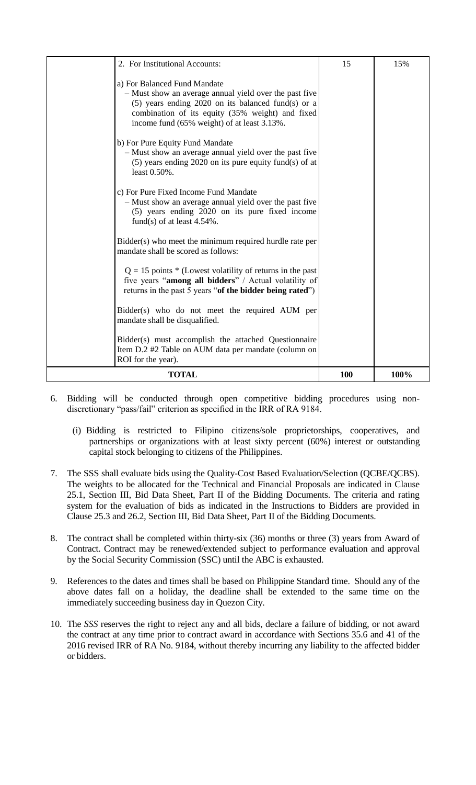| 2. For Institutional Accounts:                                                                                                                                                                                                                    | 15  | 15%  |
|---------------------------------------------------------------------------------------------------------------------------------------------------------------------------------------------------------------------------------------------------|-----|------|
| a) For Balanced Fund Mandate<br>- Must show an average annual yield over the past five<br>$(5)$ years ending 2020 on its balanced fund(s) or a<br>combination of its equity (35% weight) and fixed<br>income fund (65% weight) of at least 3.13%. |     |      |
| b) For Pure Equity Fund Mandate<br>- Must show an average annual yield over the past five<br>$(5)$ years ending 2020 on its pure equity fund(s) of at<br>least 0.50%.                                                                             |     |      |
| c) For Pure Fixed Income Fund Mandate<br>- Must show an average annual yield over the past five<br>(5) years ending 2020 on its pure fixed income<br>fund(s) of at least $4.54\%$ .                                                               |     |      |
| Bidder(s) who meet the minimum required hurdle rate per<br>mandate shall be scored as follows:                                                                                                                                                    |     |      |
| $Q = 15$ points * (Lowest volatility of returns in the past<br>five years "among all bidders" / Actual volatility of<br>returns in the past 5 years "of the bidder being rated")                                                                  |     |      |
| Bidder(s) who do not meet the required AUM per<br>mandate shall be disqualified.                                                                                                                                                                  |     |      |
| Bidder(s) must accomplish the attached Questionnaire<br>Item D.2 #2 Table on AUM data per mandate (column on<br>ROI for the year).                                                                                                                |     |      |
| <b>TOTAL</b>                                                                                                                                                                                                                                      | 100 | 100% |

- 6. Bidding will be conducted through open competitive bidding procedures using nondiscretionary "pass/fail" criterion as specified in the IRR of RA 9184.
	- (i) Bidding is restricted to Filipino citizens/sole proprietorships, cooperatives, and partnerships or organizations with at least sixty percent (60%) interest or outstanding capital stock belonging to citizens of the Philippines.
- 7. The SSS shall evaluate bids using the Quality-Cost Based Evaluation/Selection (QCBE/QCBS). The weights to be allocated for the Technical and Financial Proposals are indicated in Clause 25.1, Section III, Bid Data Sheet, Part II of the Bidding Documents. The criteria and rating system for the evaluation of bids as indicated in the Instructions to Bidders are provided in Clause 25.3 and 26.2, Section III, Bid Data Sheet, Part II of the Bidding Documents.
- 8. The contract shall be completed within thirty-six (36) months or three (3) years from Award of Contract. Contract may be renewed/extended subject to performance evaluation and approval by the Social Security Commission (SSC) until the ABC is exhausted.
- 9. References to the dates and times shall be based on Philippine Standard time. Should any of the above dates fall on a holiday, the deadline shall be extended to the same time on the immediately succeeding business day in Quezon City.
- 10. The *SSS* reserves the right to reject any and all bids, declare a failure of bidding, or not award the contract at any time prior to contract award in accordance with Sections 35.6 and 41 of the 2016 revised IRR of RA No. 9184, without thereby incurring any liability to the affected bidder or bidders.